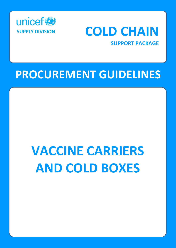

## **COLD CHAIN**

**SUPPORT PACKAGE**

## **PROCUREMENT GUIDELINES**

# **VACCINE CARRIERS AND COLD BOXES**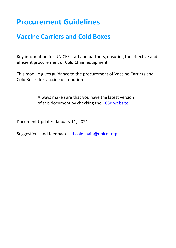### **Procurement Guidelines**

### **Vaccine Carriers and Cold Boxes**

Key information for UNICEF staff and partners, ensuring the effective and efficient procurement of Cold Chain equipment.

This module gives guidance to the procurement of Vaccine Carriers and Cold Boxes for vaccine distribution.

> Always make sure that you have the latest version of this document by checking the [CCSP website.](http://www.unicef.org/supply/index_68367.html)

Document Update: January 11, 2021

Suggestions and feedback: [sd.coldchain@unicef.org](mailto:sd.coldchain@unicef.org)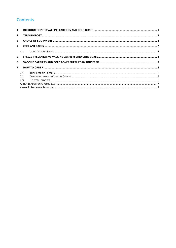#### Contents

|                | $\mathbf{1}$ |  |  |  |
|----------------|--------------|--|--|--|
| $\overline{2}$ |              |  |  |  |
| 3              |              |  |  |  |
| $\mathbf{A}$   |              |  |  |  |
|                | 4.1          |  |  |  |
| 5              |              |  |  |  |
| 6              |              |  |  |  |
|                |              |  |  |  |
| $\overline{7}$ |              |  |  |  |
|                | 7.1          |  |  |  |
|                | 7.2          |  |  |  |
|                | 7.3          |  |  |  |
|                |              |  |  |  |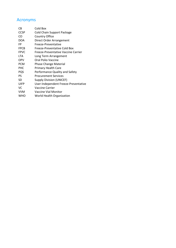#### Acronyms

| СB          | Cold Box                             |
|-------------|--------------------------------------|
| <b>CCSP</b> | Cold Chain Support Package           |
| CO          | <b>Country Office</b>                |
| <b>DOA</b>  | Direct Order Arrangement             |
| FP          | Freeze-Preventative                  |
| <b>FPCB</b> | Freeze-Preventative Cold Box         |
| <b>FPVC</b> | Freeze-Preventative Vaccine Carrier  |
| <b>LTA</b>  | Long Term Arrangement                |
| <b>OPV</b>  | Oral Polio Vaccine                   |
| <b>PCM</b>  | <b>Phase Change Material</b>         |
| <b>PHC</b>  | Primary Health Care                  |
| PQS         | Performance Quality and Safety       |
| PS          | <b>Procurement Services</b>          |
| SD          | <b>Supply Division (UNICEF)</b>      |
| <b>UIFP</b> | User-Independent Freeze-Preventative |
| VC          | Vaccine Carrier                      |
| <b>VVM</b>  | Vaccine Vial Monitor                 |
| WHO         | World Health Organization            |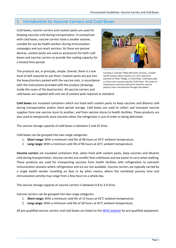#### <span id="page-4-0"></span>1 Introduction to Vaccine Carriers and Cold Boxes

Cold boxes, vaccine carriers and coolant packs are used for keeping vaccines cold during transportation. In comparison with cold boxes, vaccine carriers have a smaller volume, suitable for use by health workers during immunization campaigns and out-reach services. As these are passive devices, coolant packs are used as accessories for both cold boxes and vaccine carriers to provide the cooling capacity for a limited time period.

The products are, in principle, simple. Overall, there is a low level of skill required to use them. Coolant packs are put into the boxes/carriers packed with the vaccine vials, in accordance with the instructions provided with the product (drawings inside the cover of the box/carrier). All vaccine carriers and



© UNICEF/NYHQ2011-2454/Sokol

Carrying a 'cold box' filled with polio vaccines, a health worker passes other travelers on a dirt road as he journeys to Pakur Village, in Unity State. Cold boxes play a critical role in preserving the 'Cold Chain', the series of temperature controls required to maintain vaccine potency from manufacture through inoculation.

cold boxes are supplied with one set of coolant pack required as standard.

**Cold boxes** are insulated containers which are lined with coolant packs to keep vaccines and diluents cold during transportation and/or short period storage. Cold boxes are used to collect and transport vaccine supplies from one vaccine store to another, and from vaccine stores to health facilities. These products are also used to temporarily store vaccines when the refrigerator is out of order or being defrosted.

The vaccine storage capacity of cold boxes is between 5 and 25 litres.

Cold boxes can be grouped into two range categories:

- 1. **Short range:** With a minimum cold life of 48 hours at 43°C ambient temperature.
- 2. **Long range:** With a minimum cold life of 96 hours at 43°C ambient temperature.

**Vaccine carriers** are insulated containers that, when lined with coolant packs, keep vaccines and diluents cold during transportation. Vaccine carriers are smaller than cold boxes and are easier to carry when walking. These products are used for transporting vaccines from health facilities with refrigeration to outreach immunization sessions where refrigeration and ice are not available. Vaccine carriers are typically carried by a single health worker travelling on foot or by other means, where the combined journey time and immunization activity may range from a few hours to a whole day.

The vaccine storage capacity of vaccine carriers is between 0.8 to 3.4 litres.

Vaccine carriers can be grouped into two range categories:

- 1. **Short range:** With a minimum cold life of 15 hours at 43°C ambient temperature.
- 2. **Long range:** With a minimum cold life of 30 hours at 43°C ambient temperature.

All pre-qualified vaccine carriers and cold boxes are listed on the [WHO website](https://apps.who.int/immunization_standards/vaccine_quality/pqs_catalogue/categorypage.aspx?id_cat=18) for pre-qualified equipment.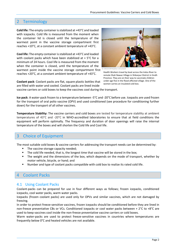#### <span id="page-5-0"></span>2 Terminology

**Cold life:** The empty container is stabilized at +43°C and loaded with icepacks. Cold life is measured from the moment when the container lid is closed until the temperature of the warmest point in the vaccine storage compartment first reaches +10°C, at a constant ambient temperature of +43°C.

**Cool life:** The empty container is stabilized at +43°C and loaded with coolant packs which have been stabilized at + 5°C for a minimum of 24 hours. Cool life is measured from the moment when the container is closed, until the temperature of the warmest point inside the vaccine storage compartment first reaches +20°C, at a constant ambient temperature of +43°C.



Health Workers travel by boat across the Indus River to remote Shah Nawaz Village in Shikarpur District in Sindh Province. They are on their way to vaccinate children under age five in the flood-affected village. One of the

**Coolant pack**: Coolant packs are flat, square plastic bottles that are filled with water and cooled. Coolant packs are lined inside vaccine carriers or cold boxes to keep the vaccines cool during the transport. women carries an insulated cold box.

**Ice pack**: A water-pack frozen to a temperature between -5°C and -20°C before use. Icepacks are used frozen for the transport of oral polio vaccine (OPV) and used conditioned (see procedure for conditioning further down) for the transport of all other vaccines.

**Temperature Stability:** The vaccine carriers and cold boxes are tested for temperature stability at ambient temperatures of 43°C and -20°C in [WHO-](http://www.who.int/immunization_standards/vaccine_quality/e03_prequalified_equip/en/index.html)accredited laboratories to ensure that at field conditions the equipment will perform optimally. The frequency and duration of door openings will raise the internal temperature of the boxes and will shorten the Cold life and Cool life.

#### <span id="page-5-1"></span>3 Choice of Equipment

The most suitable cold boxes & vaccine carriers for addressing the transport needs can be determined by:

- The vaccine storage capacity needed;
- The cold life needed, that is, the longest time that vaccine will be stored in the box;
- The weight and the dimensions of the box, which depends on the mode of transport, whether by motor vehicle, bicycle, or hand; and
- Number and type of coolant packs compatible with cold box to realize its rated cold life.

#### <span id="page-5-2"></span>**Coolant Packs**

#### <span id="page-5-3"></span>4.1 Using Coolant Packs

Coolant-packs can be prepared for use in four different ways as follows; frozen icepacks, conditioned icepacks, cool water packs, warm water packs.

Icepacks (frozen coolant packs) are used only for OPVs and similar vaccines, which are not damaged by freezing.

In order to protect freeze-sensitive vaccines, frozen icepacks should be conditioned before they are lined in non-freeze preventative CBs or VCs. Conditioned icepacks or cool water packs between + 2°C to +8°C are used to keep vaccines cool inside the non-freeze preventative vaccine carriers or cold boxes.

Warm water-packs are used to protect freeze-sensitive vaccines in countries where temperatures are frequently below 0°C and heated vehicles are not available.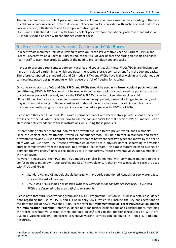The number and type of coolant packs required for a cold box or vaccine carrier varies according to the type of cold box or vaccine carrier. Note that one set of coolant packs is provided with each procured cold box or vaccine carrier (both standard and freeze-preventative types).

FFVCs and FFCBs should be used with frozen coolant packs without conditioning whereas standard VC and CB models should be used with conditioned coolant packs.

#### <span id="page-6-0"></span>5 Freeze-Preventative Vaccine Carriers and Cold Boxes

In recent years manufacturers have started to develop Freeze-Preventative Vaccine Carriers (FPVCs) and Freeze-Preventative Cold Boxes (FPCBs) to reduce the risk of vaccine freezing during transport and allow health staff to use these products without the need to pre-condition coolant packs.

In order to prevent direct contact between vaccines and coolant packs, these FPVCs/FPCBs are designed to have an insulated barrier lining, which separates the vaccine storage compartment from the coolant packs. Therefore, compared to standard VC and CB models, FPVC and FPCBs have higher weights and volumes due to these integrated design elements which reduce the risk of freezing for vaccines.

On contrary to standard VCs and CBs, **FFPCs and FPCBs should be used with frozen coolant packs without conditioning**. FFVCs & FFCBs should not be used with cool water packs or conditioned ice packs, as the use of cool water packs will severely reduce the FPVC & FPCB's capacity to keep the vaccines cold. "If conditioned ice packs are placed into freeze-preventive equipment, it may take longer to get cold, and may not stay cold as long."<sup>1</sup> Strong consideration should therefore be given to avoid in-country risk of users inadvertently using cool water packs or conditioned ice packs with FPVCs or FPCBs.

Please note that each FPVC and FPCB carry a permanent label with vaccine storage instructions attached to the inside of the lid, which describe how to use the coolant packs for that specific FPVC/CB model. Health staff should strictly adhere to these instructions while using these products.

Differentiating between standard (non-freeze preventative) and freeze-preventive VC and CB models: Since the coolant pack treatments (frozen vs. conditioned/cool) will be different in standard and freezepreventative VC and CBs, it is important that the difference between these two types are known by the health staff who will use them. "All freeze-preventive equipment has a physical barrier separating the vaccine storage compartment from the icepacks, to prevent direct contact. This simple feature helps to distinguish between the two types."<sup>1</sup> (Please see Images 1 to 4 of standard vs. freeze-preventative VC and CB models on the next page).

However, if necessary, the FPCB and FPVC models can also be marked with permanent markers to avoid confusing these models with standard VC and CBs. This would ensure that only frozen coolant packs are used with FPVC and FPCBs.

- Standard VC and CB models should be used with properly conditioned icepacks or cool water packs to avoid the risk of freezing.
- *FPVCs and F*P*CBs should not be used with cool water packs or conditioned icepacks. FFVCs and FFCBs are designed to be used with frozen icepacks.*

Please note that WHO-PQS working group and UNICEF-Programme Division will publish a detailed guidance note regarding the use of FPVCs and FPCBs in early 2021, which will include the key considerations to facilitate the use of new FPVCs and FPCBs. Please refer to "**Implementation of Freeze Preventive Equipment for Immunization Programs**" interim guidance note for further explanations and considerations regarding the freeze-preventative vaccine carriers and cold boxes.<sup>1</sup> Links to the additional resources on WHO prequalified vaccine carriers and freeze-preventive vaccine carriers can be found in Annex 1, Additional Resources.

<sup>&</sup>lt;sup>1</sup> Implementation of Freeze Preventive Equipment for Immunization Programs by WHO-PQS Working Group & UNICEF-PD, 2021.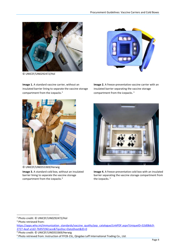

© UNICEF/UN0292472/Hol

**Image 1.** A standard vaccine carrier, without an insulated barrier lining to separate the vaccine storage compartment from the icepacks.<sup>2</sup>



**Image 2.** A freeze-preventative vaccine carrier with an insulated barrier separating the vaccine storage compartment from the icepacks. <sup>3</sup>



© UNICEF/UN0353369/Herwig

**Image 3.** A standard cold box, without an insulated barrier lining to separate the vaccine storage compartment from the icepacks.<sup>4</sup>



**Image 4.** A freeze-preventative cold box with an insulated barrier separating the vaccine storage compartment from the icepacks.<sup>5</sup>

<sup>2</sup> Photo credit: © UNICEF/UN0292472/Hol

<sup>3</sup> Photo retrieved from:

[https://apps.who.int/immunization\\_standards/vaccine\\_quality/pqs\\_catalogue/LinkPDF.aspx?UniqueID=32d08dc9-](https://apps.who.int/immunization_standards/vaccine_quality/pqs_catalogue/LinkPDF.aspx?UniqueID=32d08dc9-2727-4eaf-a1d2-7b95f1961ace&TipoDoc=DataSheet&ID=0) [2727-4eaf-a1d2-7b95f1961ace&TipoDoc=DataSheet&ID=0](https://apps.who.int/immunization_standards/vaccine_quality/pqs_catalogue/LinkPDF.aspx?UniqueID=32d08dc9-2727-4eaf-a1d2-7b95f1961ace&TipoDoc=DataSheet&ID=0)

<sup>4</sup> Photo credit: © UNICEF/UN0353369/Herwig

<sup>5</sup> Photo retrieved from: Instruction of FFCB-15L, Qingdao Leff International Trading Co., Ltd.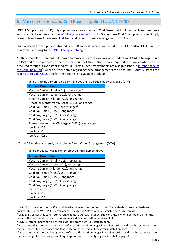#### <span id="page-8-0"></span>6 Vaccine Carriers and Cold Boxes supplied by UNICEF SD

UNICEF Supply Division (SD) only supplies Vaccine Carriers and Cold Boxes that fulfil the quality requirements set by WHO, documented in the [WHO PQS catalogue.](https://apps.who.int/immunization_standards/vaccine_quality/pqs_catalogue/categorypage.aspx?id_cat=18)<sup>6</sup> UNICEF SD procures Cold Chain products via Supply Division Long Term Arrangements (LTAs)<sup>7</sup> and Direct Ordering Arrangements (DOAs).

Standard and Freeze-preventative VC and CB models, which are included in LTAs and/or DOAs can be reviewed by clicking to th[e UNICEF Supply Catalogue.](https://supply.unicef.org/all-materials/cold-chain-equipment/cold-boxes-vaccine-carriers.html)

Multiple models of standard Cold Boxes and Vaccine Carriers are available under Direct Order Arrangements (DOAs) and can be procured directly by the Country Offices. No LPAs are required for supplies which can be procured through DOAs established by SD. Direct Order Arrangements are also published in [intranet page of](https://unicef.sharepoint.com/sites/SD/SitePages/ColdChainEquipment.aspx)  [the Cold Chain Unit](https://unicef.sharepoint.com/sites/SD/SitePages/ColdChainEquipment.aspx)<sup>8</sup>, where further details regarding these arrangements can be found. Country Offices can reach out to [Cold Chain Unit](mailto:sd.coldchain@unicef.org) for their queries on available products.

Table 1. Vaccine Carriers, Cold Boxes and Coolant Packs supplied by UNICEF SD (LTA):

| <b>Product Description</b>                             |
|--------------------------------------------------------|
| Vaccine Carrier, Small (<1L), short range <sup>9</sup> |
| Vaccine Carrier, Large (1-2L), long range              |
| Vaccine Carrier, X-large (>2L), long range             |
| Freeze-preventative VC, Large (1-2L), long range       |
| Cold Box, Small (5-15L), short range <sup>10</sup>     |
| Cold Box, Small (5-15L), long range                    |
| Cold Box, Large (15-25L), short range                  |
| Cold Box, Large (15-25L), long range                   |
| Freeze-preventative CB, Large (15-25L), long range     |
| Ice Packs 0.3L                                         |
| Ice Packs 0.4L                                         |
| Ice Packs 0.6L                                         |

VC and CB models, currently available on Direct Order Arrangement (DOA):

Table 2. Products Available on Direct Order Arrangement (DOA):

| <b>Product Description</b>                 |
|--------------------------------------------|
| Vaccine Carrier, Small (<1L), short range  |
| Vaccine Carrier, Large (1-2L), long range  |
| Vaccine Carrier, X-large (>2L), long range |
| Cold Box, Small (5-15L), short range       |
| Cold Box, Small (5-15L), long range        |
| Cold Box, Large (15-25L), short range      |
| Cold Box, Large (15-25L), long range       |
| Ice Packs 0.3L                             |
| Ice Packs 0.4L                             |
| Ice Packs 0.6L                             |

<sup>6</sup> UNICEF SD procures pre-qualified and listed equipment that conform to WHO standards. These standards are documented in the WHO PQS (Performance, Quality and Safety) manual, which is accessible online.

 $7$  UNICEF SD establishes Long Term Arrangements (LTAs) with product suppliers, usually for a period of 24 months.

Refer to the document General Procurement Guideline for further details on LTAs.

<sup>8</sup> UNICEF intranet pages can be entered via login from a UNICEF staff account.

<sup>9</sup> Please note that short and long ranges refer to different time ranges in vaccine carriers and cold boxes. Please see the time ranges for short range and long range for each product type given in detail on page 1.

<sup>&</sup>lt;sup>10</sup> Please note that short and long ranges refer to different time ranges in vaccine carriers and cold boxes. Please see the time ranges for short range and long range for each product type given in detail on page 1.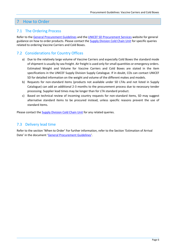#### <span id="page-9-0"></span>7 How to Order

#### <span id="page-9-1"></span>7.1 The Ordering Process

Refer to th[e General Procurement Guidelines](https://www.unicef.org/supply/documents/general-procurement-guidelines-cold-chain-equipment) and the [UNICEF SD Procurement Services](http://www.unicef.org/supply/index_procurement_services.html) website for general guidance on how to order products. Please contact the [Supply Division Cold Chain Unit](mailto:SD.ColdChain@unicef.org) for specific queries related to ordering Vaccine Carriers and Cold Boxes.

#### <span id="page-9-2"></span>7.2 Considerations for Country Offices

- a) Due to the relatively large volume of Vaccine Carriers and especially Cold Boxes the standard mode of shipment is usually by sea freight. Air freight is used only for small quantities or emergency orders. Estimated Weight and Volume for Vaccine Carriers and Cold Boxes are stated in the item specifications in the UNICEF Supply Division Supply Catalogue. If in doubt, COs can contact UNICEF SD for detailed information on the weight and volume of the different makes and models.
- b) Requests for non-standard items (products not available under SD LTAs and not listed in Supply Catalogue) can add an additional 2-3 months to the procurement process due to necessary tender processing. Supplier lead times may be longer than for LTA standard product.
- c) Based on technical review of incoming country requests for non-standard items, SD may suggest alternative standard items to be procured instead, unless specific reasons prevent the use of standard items.

Please contact the [Supply Division Cold Chain Unit](mailto:SD.ColdChain@unicef.org) for any related queries.

#### <span id="page-9-3"></span>7.3 Delivery lead time

Refer to the section 'When to Order' For further information, refer to the Section 'Estimation of Arrival Date' in the document '[General Procurement Guidelines](https://www.unicef.org/supply/documents/general-procurement-guidelines-cold-chain-equipment)'.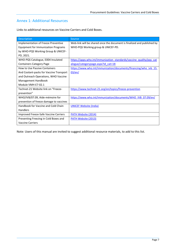#### <span id="page-10-0"></span>Annex 1: Additional Resources

Links to additional resources on Vaccine Carriers and Cold Boxes.

| Description                             | Source                                                                  |
|-----------------------------------------|-------------------------------------------------------------------------|
| Implementation of Freeze Preventive     | Web-link will be shared once the document is finalized and published by |
| Equipment for Immunization Programs     | WHO-PQS Working group & UNICEF-PD.                                      |
| by WHO-PQS Working Group & UNICEF-      |                                                                         |
| PD, 2021.                               |                                                                         |
| WHO-PQS Catalogue, E004 Insulated       | https://apps.who.int/immunization standards/vaccine quality/pqs cat     |
| <b>Containers Category Page</b>         | alogue/categorypage.aspx?id cat=18                                      |
| How to Use Passive Containers           | https://www.who.int/immunization/documents/financing/who ivb 15.        |
| And Coolant-packs for Vaccine Transport | 03/en/                                                                  |
| and Outreach Operations, WHO Vaccine    |                                                                         |
| Management Handbook                     |                                                                         |
| Module VMH-E7-02.1                      |                                                                         |
| Technet-21 Website link on "Freeze-     | https://www.technet-21.org/en/topics/freeze-prevention                  |
| prevention"                             |                                                                         |
| WHO/IVB/07.09, Aide-mémoire for         | https://www.who.int/immunization/documents/WHO IVB 07.09/en/            |
| prevention of freeze damage to vaccines |                                                                         |
| Handbook for Vaccine and Cold Chain     | <b>UNICEF Website (India)</b>                                           |
| Handlers                                |                                                                         |
| Improved Freeze-Safe Vaccine Carriers   | <b>PATH Website (2014)</b>                                              |
| Preventing Freezing in Cold Boxes and   | PATH Website (2013)                                                     |
| <b>Vaccine Carriers</b>                 |                                                                         |

Note: Users of this manual are invited to suggest additional resource materials, to add to this list.